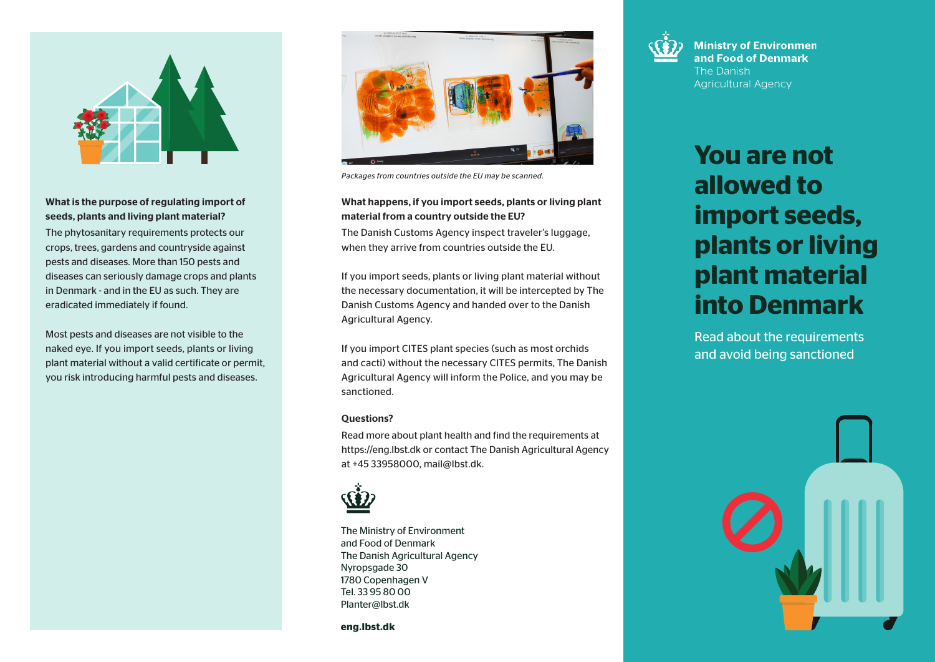

## What is the purpose of regulating import of seeds, plants and living plant material?

The phytosanitary requirements protects our crops, trees, gardens and countryside against pests and diseases. More than 150 pests and diseases can seriously damage crops and plants in Denmark - and in the EU as such. They are eradicated immediately if found.

Most pests and diseases are not visible to the naked eye. If you import seeds, plants or living plant material without a valid certificate or permit, you risk introducing harmful pests and diseases.



*Packages from countries outside the EU may be scanned.*

## What happens, if you import seeds, plants or living plant material from a country outside the EU?

The Danish Customs Agency inspect traveler's luggage, when they arrive from countries outside the EU.

If you import seeds, plants or living plant material without the necessary documentation, it will be intercepted by The Danish Customs Agency and handed over to the Danish Agricultural Agency.

If you import CITES plant species (such as most orchids and cacti) without the necessary CITES permits, The Danish Agricultural Agency will inform the Police, and you may be sanctioned.

### Questions?

Read more about plant health and find the requirements at https://eng.lbst.dk or contact The Danish Agricultural Agency at +45 33958000, mail@lbst.dk.



The Ministry of Environment and Food of Denmark The Danish Agricultural Agency Nyropsgade 30 1780 Copenhagen V Tel. 33 95 80 00 Planter@lbst.dk

**eng.lbst.dk**



**Ministry of Environmen** and Food of Denmark The Danish **Agricultural Agency** 

# **You are not allowed to import seeds, plants or living plant material into Denmark**

Read about the requirements and avoid being sanctioned